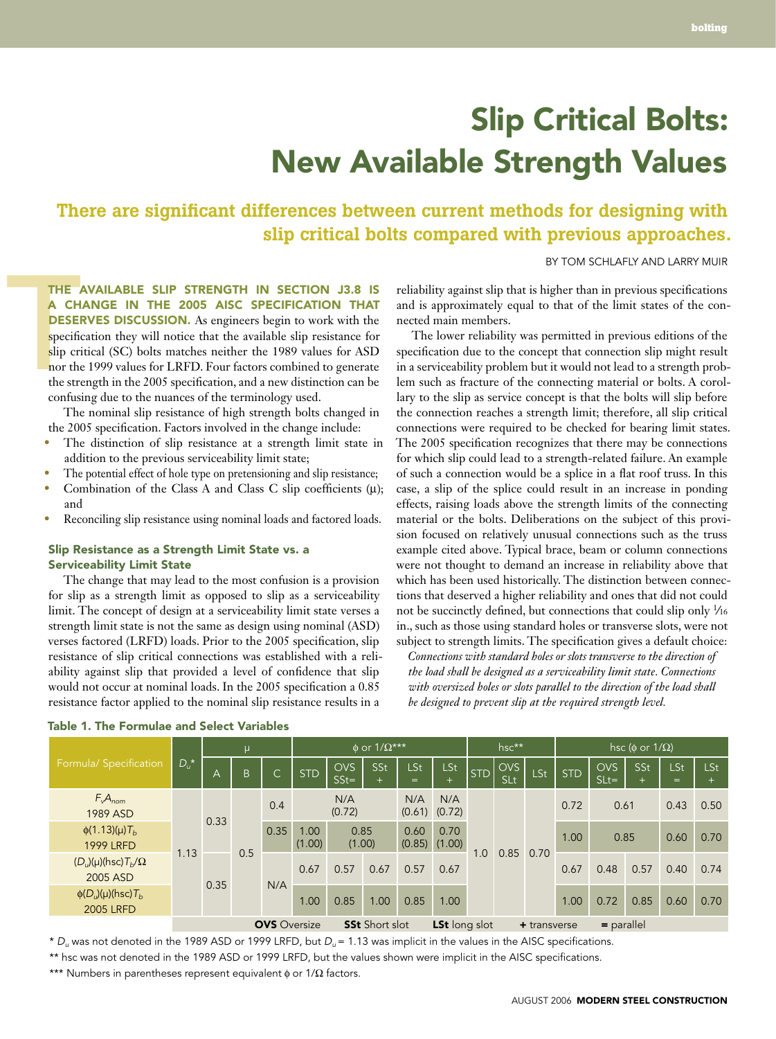# Slip Critical Bolts: New Available Strength Values

## There are significant differences between current methods for designing with slip critical bolts compared with previous approaches.

BY TOM SCHLAFLY AND LARRY MUIR

THE<br>
A CH<br>
DESEI<br>
specific<br>
slip cri<br>
nor the<br>
the street<br>
confus THE AVAILABLE SLIP STRENGTH IN SECTION J3.8 IS A CHANGE IN THE 2005 AISC SPECIFICATION THAT DESERVES DISCUSSION. As engineers begin to work with the specification they will notice that the available slip resistance for slip critical (SC) bolts matches neither the 1989 values for ASD nor the 1999 values for LRFD. Four factors combined to generate the strength in the 2005 specification, and a new distinction can be confusing due to the nuances of the terminology used.

> The nominal slip resistance of high strength bolts changed in the 2005 specification. Factors involved in the change include:

- The distinction of slip resistance at a strength limit state in addition to the previous serviceability limit state;
- The potential effect of hole type on pretensioning and slip resistance;
- Combination of the Class A and Class C slip coefficients  $(\mu)$ ; and
- Reconciling slip resistance using nominal loads and factored loads.

#### Slip Resistance as a Strength Limit State vs. a Serviceability Limit State

The change that may lead to the most confusion is a provision for slip as a strength limit as opposed to slip as a serviceability limit. The concept of design at a serviceability limit state verses a strength limit state is not the same as design using nominal (ASD) verses factored (LRFD) loads. Prior to the 2005 specification, slip resistance of slip critical connections was established with a reliability against slip that provided a level of confidence that slip would not occur at nominal loads. In the 2005 specification a 0.85 resistance factor applied to the nominal slip resistance results in a

reliability against slip that is higher than in previous specifications and is approximately equal to that of the limit states of the connected main members.

The lower reliability was permitted in previous editions of the specification due to the concept that connection slip might result in a serviceability problem but it would not lead to a strength problem such as fracture of the connecting material or bolts. A corollary to the slip as service concept is that the bolts will slip before the connection reaches a strength limit; therefore, all slip critical connections were required to be checked for bearing limit states. The 2005 specification recognizes that there may be connections for which slip could lead to a strength-related failure. An example of such a connection would be a splice in a flat roof truss. In this case, a slip of the splice could result in an increase in ponding effects, raising loads above the strength limits of the connecting material or the bolts. Deliberations on the subject of this provision focused on relatively unusual connections such as the truss example cited above. Typical brace, beam or column connections were not thought to demand an increase in reliability above that which has been used historically. The distinction between connections that deserved a higher reliability and ones that did not could not be succinctly defined, but connections that could slip only 1⁄<sup>16</sup> in., such as those using standard holes or transverse slots, were not subject to strength limits. The specification gives a default choice:

*Connections with standard holes or slots transverse to the direction of the load shall be designed as a serviceability limit state. Connections with oversized holes or slots parallel to the direction of the load shall be designed to prevent slip at the required strength level.*

|                                                     |         |      | μ. |                     |            |                       | $\phi$ or $1/\Omega^{***}$ |            |                          |                           | hsc**      |              |            |                               | hsc ( $\phi$ or $1/\Omega$ ) |            |      |      |
|-----------------------------------------------------|---------|------|----|---------------------|------------|-----------------------|----------------------------|------------|--------------------------|---------------------------|------------|--------------|------------|-------------------------------|------------------------------|------------|------|------|
| Formula/Specification                               | $D_u^*$ | A    | B. | $\mathsf{C}^1$      | <b>STD</b> | <b>OVS</b><br>$SSt =$ | SSt<br>$+$                 | LSt<br>$=$ | LSt<br>$+$               | $ $ STD                   | OVS<br>SLt | <b>LSt</b>   | <b>STD</b> | <b>OVS</b><br>S <sub>It</sub> | SSt<br>$+$                   | LSt<br>$=$ | LSt  |      |
| $F_vA_{nom}$<br>1989 ASD                            |         |      |    | 0.4                 |            | N/A<br>(0.72)         |                            | N/A        | N/A<br>$(0.61)$ $(0.72)$ |                           |            |              | 0.72       | 0.61                          |                              | 0.43       | 0.50 |      |
| $\phi(1.13)(\mu)T_b$<br><b>1999 LRFD</b>            |         | 0.33 |    |                     | 0.35       | 1.00<br>(1.00)        | 0.85<br>(1.00)             |            | 0.60                     | 0.70<br>$(0.85)$ $(1.00)$ |            |              | 0.70       | 1.00                          | 0.85                         |            | 0.60 | 0.70 |
| $(D_u)(\mu)(\text{hsc})T_b/\Omega$<br>2005 ASD      | 1.13    |      |    | 0.5                 |            | 0.67                  | 0.57                       | 0.67       | 0.57                     | 0.67                      | 1.0        | 0.85         |            | 0.67                          | 0.48                         | 0.57       | 0.40 | 0.74 |
| $\phi(D_u)(\mu)(\text{hsc})T_b$<br><b>2005 LRFD</b> |         | 0.35 |    | N/A                 | 1.00       | 0.85                  | 1.00                       | 0.85       | 1.00                     |                           |            |              | 1.00       | 0.72                          | 0.85                         | 0.60       | 0.70 |      |
|                                                     |         |      |    | <b>OVS</b> Oversize |            |                       | <b>SSt</b> Short slot      |            | <b>LSt</b> long slot     |                           |            | + transverse |            | $=$ parallel                  |                              |            |      |      |

#### Table 1. The Formulae and Select Variables

 $*$  D<sub>u</sub> was not denoted in the 1989 ASD or 1999 LRFD, but D<sub>u</sub> = 1.13 was implicit in the values in the AISC specifications.

\*\* hsc was not denoted in the 1989 ASD or 1999 LRFD, but the values shown were implicit in the AISC specifications.

\*\*\* Numbers in parentheses represent equivalent  $\phi$  or 1/ $\Omega$  factors.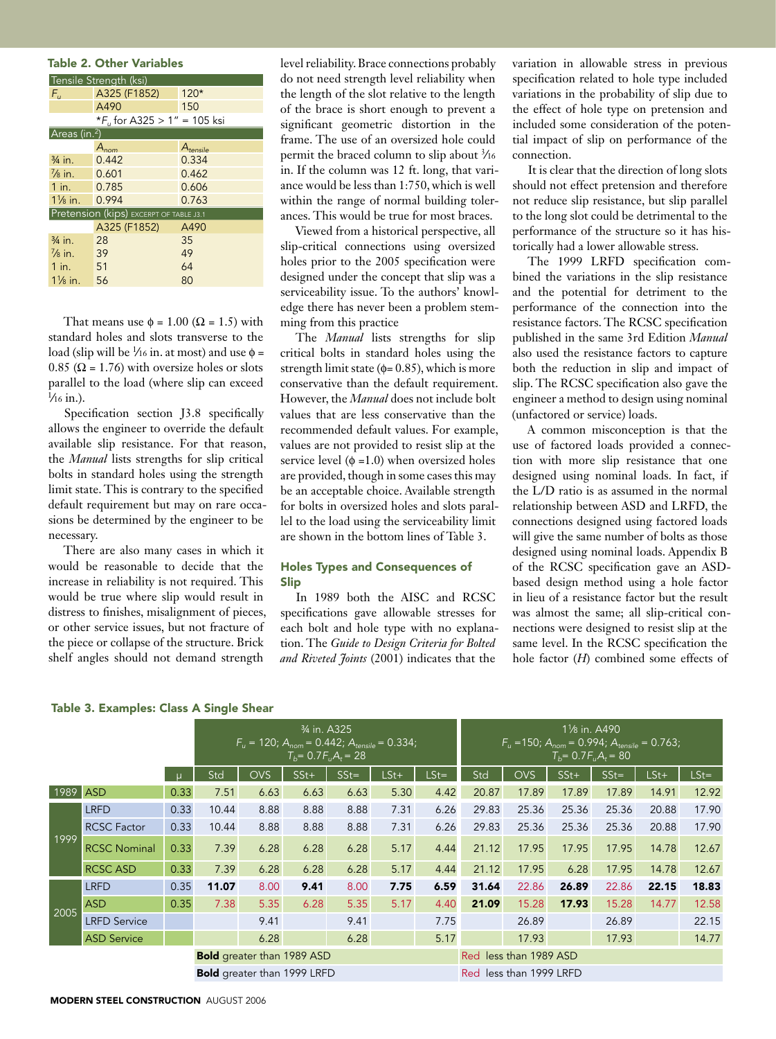#### Table 2. Other Variables

|                           | Tensile Strength (ksi)                  |                      |
|---------------------------|-----------------------------------------|----------------------|
| F.,                       | A325 (F1852)                            | $120*$               |
|                           | A490                                    | 150                  |
|                           | *F <sub>u</sub> for A325 > 1" = 105 ksi |                      |
| Areas (in. <sup>2</sup> ) |                                         |                      |
|                           | $A_{nom}$                               | $A_{\text{tensile}}$ |
| $\frac{3}{4}$ in.         | 0.442                                   | 0.334                |
| $\frac{7}{8}$ in.         | 0.601                                   | 0.462                |
| $1$ in.                   | 0.785                                   | 0.606                |
| $1\frac{1}{8}$ in. 0.994  |                                         | 0.763                |
|                           | Pretension (kips) EXCERPT OF TABLE J3.1 |                      |
|                           | A325 (F1852) A490                       |                      |
| $\frac{3}{4}$ in.         | 28                                      | 35                   |
| $\frac{7}{8}$ in.         | 39                                      | 49                   |
| $1$ in.                   | 51                                      | 64                   |
| $1\frac{1}{8}$ in. 56     |                                         | 80                   |

That means use  $\phi = 1.00$  ( $\Omega = 1.5$ ) with standard holes and slots transverse to the load (slip will be  $\frac{1}{16}$  in. at most) and use  $\phi =$ 0.85 ( $\Omega$  = 1.76) with oversize holes or slots parallel to the load (where slip can exceed  $\frac{1}{16}$  in.).

Specification section J3.8 specifically allows the engineer to override the default available slip resistance. For that reason, the *Manual* lists strengths for slip critical bolts in standard holes using the strength limit state. This is contrary to the specified default requirement but may on rare occasions be determined by the engineer to be necessary.

There are also many cases in which it would be reasonable to decide that the increase in reliability is not required. This would be true where slip would result in distress to finishes, misalignment of pieces, or other service issues, but not fracture of the piece or collapse of the structure. Brick shelf angles should not demand strength

level reliability. Brace connections probably do not need strength level reliability when the length of the slot relative to the length of the brace is short enough to prevent a significant geometric distortion in the frame. The use of an oversized hole could permit the braced column to slip about 3⁄<sup>16</sup> in. If the column was 12 ft. long, that variance would be less than 1:750, which is well within the range of normal building tolerances. This would be true for most braces.

Viewed from a historical perspective, all slip-critical connections using oversized holes prior to the 2005 specification were designed under the concept that slip was a serviceability issue. To the authors' knowledge there has never been a problem stemming from this practice

The *Manual* lists strengths for slip critical bolts in standard holes using the strength limit state ( $\phi$ = 0.85), which is more conservative than the default requirement. However, the *Manual* does not include bolt values that are less conservative than the recommended default values. For example, values are not provided to resist slip at the service level  $(\phi = 1.0)$  when oversized holes are provided, though in some cases this may be an acceptable choice. Available strength for bolts in oversized holes and slots parallel to the load using the serviceability limit are shown in the bottom lines of Table 3.

#### Holes Types and Consequences of Slip

In 1989 both the AISC and RCSC specifications gave allowable stresses for each bolt and hole type with no explanation. The *Guide to Design Criteria for Bolted and Riveted Joints* (2001) indicates that the

variation in allowable stress in previous specification related to hole type included variations in the probability of slip due to the effect of hole type on pretension and included some consideration of the potential impact of slip on performance of the connection.

It is clear that the direction of long slots should not effect pretension and therefore not reduce slip resistance, but slip parallel to the long slot could be detrimental to the performance of the structure so it has historically had a lower allowable stress.

The 1999 LRFD specification combined the variations in the slip resistance and the potential for detriment to the performance of the connection into the resistance factors. The RCSC specification published in the same 3rd Edition *Manual* also used the resistance factors to capture both the reduction in slip and impact of slip. The RCSC specification also gave the engineer a method to design using nominal (unfactored or service) loads.

A common misconception is that the use of factored loads provided a connection with more slip resistance that one designed using nominal loads. In fact, if the L/D ratio is as assumed in the normal relationship between ASD and LRFD, the connections designed using factored loads will give the same number of bolts as those designed using nominal loads. Appendix B of the RCSC specification gave an ASDbased design method using a hole factor in lieu of a resistance factor but the result was almost the same; all slip-critical connections were designed to resist slip at the same level. In the RCSC specification the hole factor (*H*) combined some effects of

| <b>Table 3. Examples: Class A Single Shear</b> |  |  |
|------------------------------------------------|--|--|
|                                                |  |  |

|          |                     |      |       | $F_u = 120$ ; $A_{nom} = 0.442$ ; $A_{tensile} = 0.334$ ; | 34 in. A325<br>$T_h$ = 0.7 $F_u$ A <sub>t</sub> = 28 |         |        |         |                         |            | 11/8 in. A490<br>$T_b = 0.7 F_u A_t = 80$ | $F_u = 150$ ; $A_{nom} = 0.994$ ; $A_{tensile} = 0.763$ ; |        |         |
|----------|---------------------|------|-------|-----------------------------------------------------------|------------------------------------------------------|---------|--------|---------|-------------------------|------------|-------------------------------------------|-----------------------------------------------------------|--------|---------|
|          |                     |      | Std   | <b>OVS</b>                                                | $SSt+$                                               | $SSt =$ | $LSt+$ | $LSt =$ | Std                     | <b>OVS</b> | $SSt+$                                    | $SSt =$                                                   | $LSt+$ | $LSt =$ |
| 1989 ASD |                     | 0.33 | 7.51  | 6.63                                                      | 6.63                                                 | 6.63    | 5.30   | 4.42    | 20.87                   | 17.89      | 17.89                                     | 17.89                                                     | 14.91  | 12.92   |
|          | <b>LRFD</b>         | 0.33 | 10.44 | 8.88                                                      | 8.88                                                 | 8.88    | 7.31   | 6.26    | 29.83                   | 25.36      | 25.36                                     | 25.36                                                     | 20.88  | 17.90   |
|          | <b>RCSC Factor</b>  | 0.33 | 10.44 | 8.88                                                      | 8.88                                                 | 8.88    | 7.31   | 6.26    | 29.83                   | 25.36      | 25.36                                     | 25.36                                                     | 20.88  | 17.90   |
| 1999     | <b>RCSC Nominal</b> | 0.33 | 7.39  | 6.28                                                      | 6.28                                                 | 6.28    | 5.17   | 4.44    | 21.12                   | 17.95      | 17.95                                     | 17.95                                                     | 14.78  | 12.67   |
|          | <b>RCSC ASD</b>     | 0.33 | 7.39  | 6.28                                                      | 6.28                                                 | 6.28    | 5.17   | 4.44    | 21.12                   | 17.95      | 6.28                                      | 17.95                                                     | 14.78  | 12.67   |
|          | <b>LRFD</b>         | 0.35 | 11.07 | 8.00                                                      | 9.41                                                 | 8.00    | 7.75   | 6.59    | 31.64                   | 22.86      | 26.89                                     | 22.86                                                     | 22.15  | 18.83   |
| 2005     | <b>ASD</b>          | 0.35 | 7.38  | 5.35                                                      | 6.28                                                 | 5.35    | 5.17   | 4.40    | 21.09                   | 15.28      | 17.93                                     | 15.28                                                     | 14.77  | 12.58   |
|          | <b>LRFD Service</b> |      |       | 9.41                                                      |                                                      | 9.41    |        | 7.75    |                         | 26.89      |                                           | 26.89                                                     |        | 22.15   |
|          | <b>ASD Service</b>  |      |       | 6.28                                                      |                                                      | 6.28    |        | 5.17    |                         | 17.93      |                                           | 17.93                                                     |        | 14.77   |
|          |                     |      |       | <b>Bold</b> greater than 1989 ASD                         |                                                      |         |        |         | Red less than 1989 ASD  |            |                                           |                                                           |        |         |
|          |                     |      |       | <b>Bold</b> greater than 1999 LRFD                        |                                                      |         |        |         | Red less than 1999 LRFD |            |                                           |                                                           |        |         |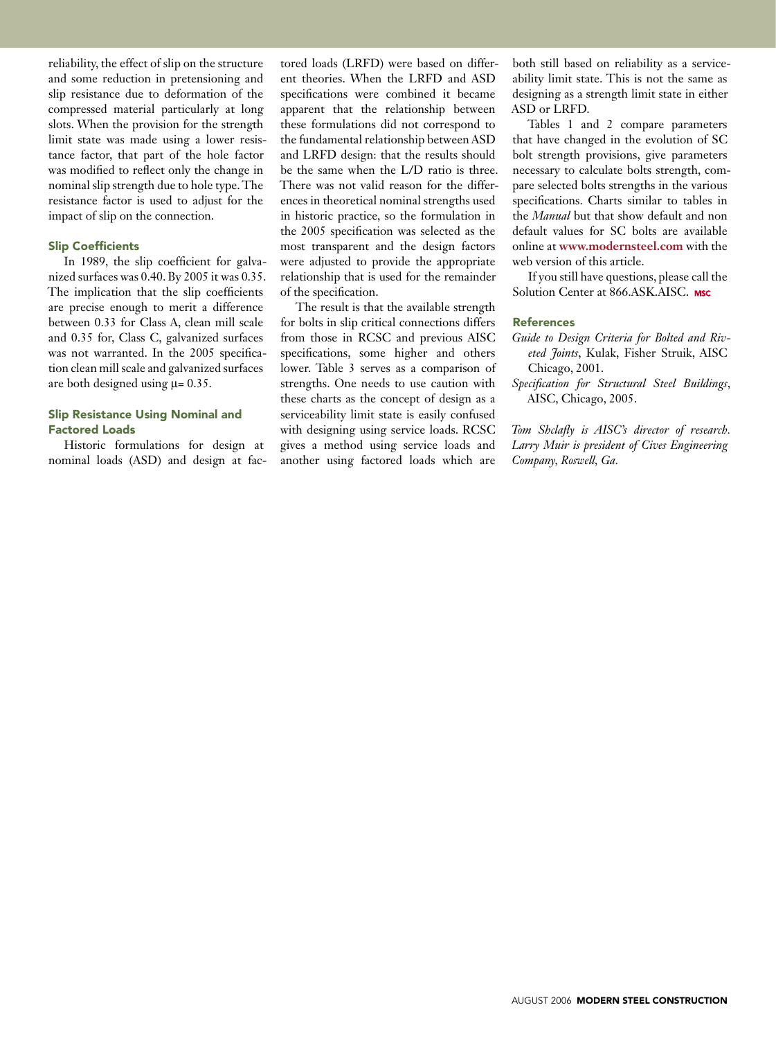reliability, the effect of slip on the structure and some reduction in pretensioning and slip resistance due to deformation of the compressed material particularly at long slots. When the provision for the strength limit state was made using a lower resistance factor, that part of the hole factor was modified to reflect only the change in nominal slip strength due to hole type. The resistance factor is used to adjust for the impact of slip on the connection.

#### Slip Coefficients

In 1989, the slip coefficient for galvanized surfaces was 0.40. By 2005 it was 0.35. The implication that the slip coefficients are precise enough to merit a difference between 0.33 for Class A, clean mill scale and 0.35 for, Class C, galvanized surfaces was not warranted. In the 2005 specification clean mill scale and galvanized surfaces are both designed using  $\mu$  = 0.35.

### Slip Resistance Using Nominal and Factored Loads

Historic formulations for design at nominal loads (ASD) and design at factored loads (LRFD) were based on different theories. When the LRFD and ASD specifications were combined it became apparent that the relationship between these formulations did not correspond to the fundamental relationship between ASD and LRFD design: that the results should be the same when the L/D ratio is three. There was not valid reason for the differences in theoretical nominal strengths used in historic practice, so the formulation in the 2005 specification was selected as the most transparent and the design factors were adjusted to provide the appropriate relationship that is used for the remainder of the specification.

The result is that the available strength for bolts in slip critical connections differs from those in RCSC and previous AISC specifications, some higher and others lower. Table 3 serves as a comparison of strengths. One needs to use caution with these charts as the concept of design as a serviceability limit state is easily confused with designing using service loads. RCSC gives a method using service loads and another using factored loads which are

both still based on reliability as a serviceability limit state. This is not the same as designing as a strength limit state in either ASD or LRFD.

Tables 1 and 2 compare parameters that have changed in the evolution of SC bolt strength provisions, give parameters necessary to calculate bolts strength, compare selected bolts strengths in the various specifications. Charts similar to tables in the *Manual* but that show default and non default values for SC bolts are available online at **www.modernsteel.com** with the web version of this article.

If you still have questions, please call the Solution Center at 866.ASK.AISC. MSC

#### References

- *Guide to Design Criteria for Bolted and Riveted Joints*, Kulak, Fisher Struik, AISC Chicago, 2001.
- *Specification for Structural Steel Buildings*, AISC, Chicago, 2005.

*Tom Shclafly is AISC's director of research. Larry Muir is president of Cives Engineering Company, Roswell, Ga.*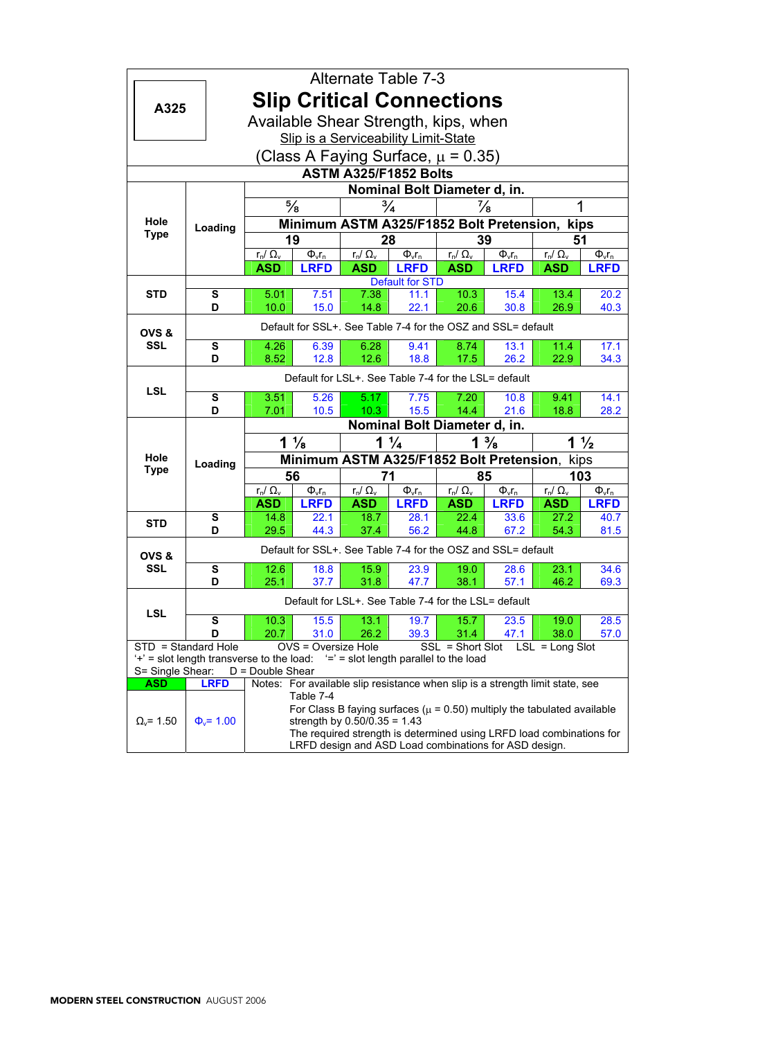|                  |                                             |                              |                             |                                                | Alternate Table 7-3                  |                                                                               |                             |                       |                                        |
|------------------|---------------------------------------------|------------------------------|-----------------------------|------------------------------------------------|--------------------------------------|-------------------------------------------------------------------------------|-----------------------------|-----------------------|----------------------------------------|
|                  |                                             |                              |                             |                                                |                                      | <b>Slip Critical Connections</b>                                              |                             |                       |                                        |
| A325             |                                             |                              |                             |                                                |                                      | Available Shear Strength, kips, when                                          |                             |                       |                                        |
|                  |                                             |                              |                             |                                                | Slip is a Serviceability Limit-State |                                                                               |                             |                       |                                        |
|                  |                                             |                              |                             |                                                |                                      |                                                                               |                             |                       |                                        |
|                  |                                             |                              |                             |                                                |                                      | (Class A Faying Surface, $\mu$ = 0.35)                                        |                             |                       |                                        |
|                  |                                             |                              |                             |                                                | ASTM A325/F1852 Bolts                |                                                                               |                             |                       |                                        |
|                  |                                             |                              |                             |                                                |                                      | Nominal Bolt Diameter d, in.                                                  |                             |                       |                                        |
|                  |                                             | $\frac{5}{8}$                |                             | $\frac{3}{4}$                                  |                                      | ℅                                                                             |                             | 1                     |                                        |
| Hole<br>Type     | Loading                                     | 19                           |                             | Minimum ASTM A325/F1852 Bolt Pretension,<br>28 |                                      |                                                                               |                             | kips                  |                                        |
|                  |                                             |                              |                             |                                                |                                      | 39                                                                            |                             |                       | 51                                     |
|                  |                                             | $r_n/\Omega_v$<br><b>ASD</b> | $\Phi_v r_n$<br><b>LRFD</b> | $r_n/\Omega_v$<br><b>ASD</b>                   | $\Phi_v r_n$<br><b>LRFD</b>          | $r_n/\Omega_v$<br>ASD                                                         | $\Phi_v r_n$<br><b>LRFD</b> | $r_n/\Omega_v$<br>ASD | $\Phi_v r_n$<br><b>LRFD</b>            |
|                  |                                             |                              |                             |                                                | <b>Default for STD</b>               |                                                                               |                             |                       |                                        |
| <b>STD</b>       | S                                           | 5.01                         | 7.51                        | 7.38                                           | 11.1                                 | 10.3                                                                          | 15.4                        | 13.4                  | 20.2                                   |
|                  | D                                           | 10.0                         | 15.0                        | 14.8                                           | 22.1                                 | 20.6                                                                          | 30.8                        | 26.9                  | 40.3                                   |
| OVS&             |                                             |                              |                             |                                                |                                      | Default for SSL+. See Table 7-4 for the OSZ and SSL= default                  |                             |                       |                                        |
| <b>SSL</b>       | S                                           | 4.26                         | 6.39                        | 6.28                                           | 9.41                                 | 8.74                                                                          | 13.1                        | 11.4                  | 17.1                                   |
|                  | D                                           | 8.52                         | 12.8                        | 12.6                                           | 18.8                                 | 17.5                                                                          | 26.2                        | 22.9                  | 34.3                                   |
|                  |                                             |                              |                             |                                                |                                      | Default for LSL+. See Table 7-4 for the LSL= default                          |                             |                       |                                        |
| LSL              | s                                           | 3.51                         | 5.26                        | 5.17                                           | 7.75                                 | 7.20                                                                          | 10.8                        | 9.41                  | 14.1                                   |
|                  | D                                           | 7.01                         | 10.5                        | 10.3                                           | 15.5                                 | 14.4                                                                          | 21.6                        | 18.8                  | 28.2                                   |
|                  |                                             |                              |                             |                                                |                                      | Nominal Bolt Diameter d, in.                                                  |                             |                       |                                        |
|                  |                                             |                              | $1\frac{1}{8}$              |                                                | $1\frac{1}{4}$                       | $1\frac{3}{8}$                                                                |                             |                       | $1\frac{1}{2}$                         |
|                  |                                             |                              |                             | Minimum ASTM A325/F1852 Bolt Pretension,       |                                      | 85                                                                            |                             |                       | kips                                   |
| Hole             | Loading                                     |                              |                             |                                                |                                      |                                                                               |                             |                       |                                        |
| Type             |                                             | 56                           |                             | 71                                             |                                      |                                                                               |                             |                       | 103                                    |
|                  |                                             | $r_n/\Omega_v$               | $\overline{\Phi_{v}r_{n}}$  | $r_n/\Omega_v$                                 | $\overline{\Phi_{v}r_{n}}$           | $r_n/\Omega_v$                                                                | $\overline{\Phi_{v}r_{n}}$  | $r_n/\Omega_v$        | $\overline{\Phi_{\nu}}$ r <sub>n</sub> |
|                  | s                                           | <b>ASD</b><br>14.8           | <b>LRFD</b><br>22.1         | <b>ASD</b><br>18.7                             | <b>LRFD</b><br>28.1                  | <b>ASD</b><br>22.4                                                            | <b>LRFD</b><br>33.6         | <b>ASD</b><br>27.2    | <b>LRFD</b><br>40.7                    |
| STD              | D                                           | 29.5                         | 44.3                        | 37.4                                           | 56.2                                 | 44.8                                                                          | 67.2                        | 54.3                  | 81.5                                   |
| OVS&             |                                             |                              |                             |                                                |                                      | Default for SSL+. See Table 7-4 for the OSZ and SSL= default                  |                             |                       |                                        |
| <b>SSL</b>       | S                                           | 12.6                         | 18.8                        | 15.9                                           | 23.9                                 | 19.0                                                                          | 28.6                        | 23.1                  | 34.6                                   |
|                  | D                                           | 25.1                         | 37.7                        | 31.8                                           | 47.7                                 | 38.1                                                                          | 57.1                        | 46.2                  | 69.3                                   |
|                  |                                             |                              |                             |                                                |                                      | Default for LSL+. See Table 7-4 for the LSL= default                          |                             |                       |                                        |
| <b>LSL</b>       | S                                           | 10.3                         | 15.5                        | 13.1                                           | 19.7                                 | 15.7                                                                          | 23.5                        | 19.0                  | 28.5                                   |
|                  | D                                           | 20.7                         | 31.0                        | 26.2                                           | 39.3                                 | 31.4                                                                          | 47.1                        | 38.0                  | 57.0                                   |
|                  | STD = Standard Hole                         |                              | OVS = Oversize Hole         |                                                |                                      | $SSL = Short Slot$ $LSL = Long Slot$                                          |                             |                       |                                        |
| S= Single Shear: | $+$ ' = slot length transverse to the load: | $D = Double Shear$           |                             |                                                |                                      | '=' = slot length parallel to the load                                        |                             |                       |                                        |
| ASD              | <b>LRFD</b>                                 |                              | Table 7-4                   |                                                |                                      | Notes: For available slip resistance when slip is a strength limit state, see |                             |                       |                                        |
|                  |                                             |                              |                             |                                                |                                      | For Class B faying surfaces ( $\mu$ = 0.50) multiply the tabulated available  |                             |                       |                                        |
| $Q_v = 1.50$     | $\Phi_v = 1.00$                             |                              |                             | strength by $0.50/0.35 = 1.43$                 |                                      | The required strength is determined using LRFD load combinations for          |                             |                       |                                        |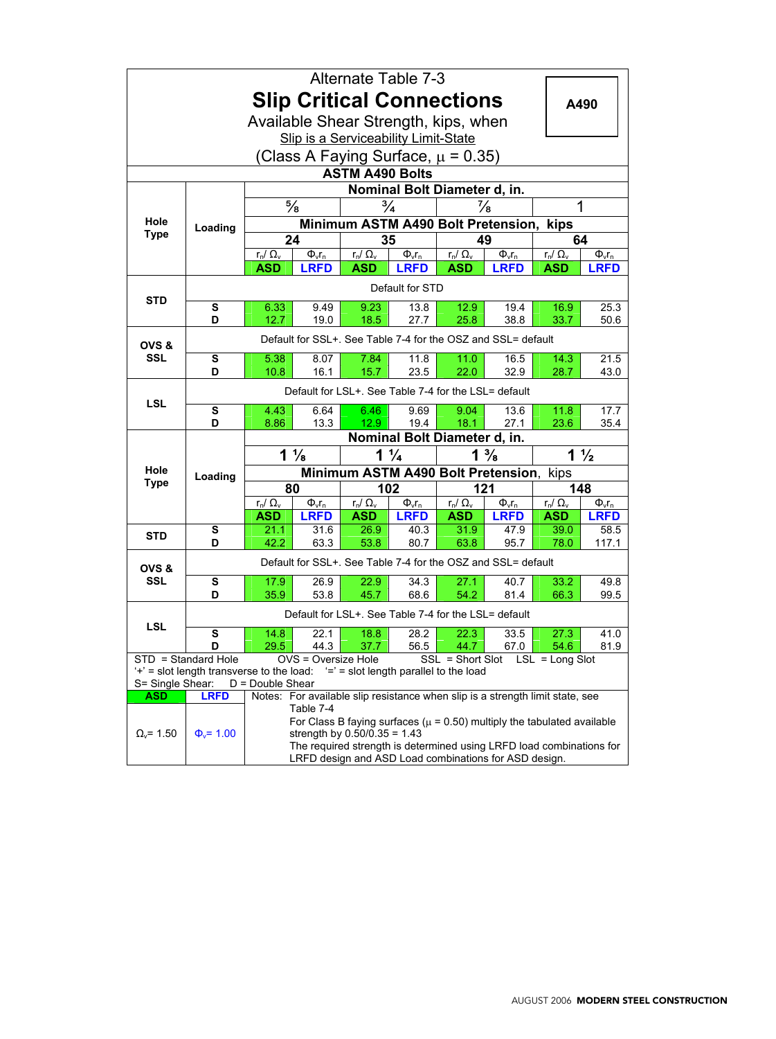| <b>Alternate Table 7-3</b><br><b>Slip Critical Connections</b><br>A490<br>Available Shear Strength, kips, when<br>Slip is a Serviceability Limit-State<br>(Class A Faying Surface, $\mu$ = 0.35)<br><b>ASTM A490 Bolts</b><br>Nominal Bolt Diameter d, in.<br>$\frac{5}{8}$<br>$\frac{3}{4}$<br>1<br>℅<br>Hole |                                                 |
|----------------------------------------------------------------------------------------------------------------------------------------------------------------------------------------------------------------------------------------------------------------------------------------------------------------|-------------------------------------------------|
|                                                                                                                                                                                                                                                                                                                |                                                 |
|                                                                                                                                                                                                                                                                                                                |                                                 |
|                                                                                                                                                                                                                                                                                                                |                                                 |
|                                                                                                                                                                                                                                                                                                                |                                                 |
|                                                                                                                                                                                                                                                                                                                |                                                 |
|                                                                                                                                                                                                                                                                                                                |                                                 |
|                                                                                                                                                                                                                                                                                                                |                                                 |
|                                                                                                                                                                                                                                                                                                                |                                                 |
| Minimum ASTM A490 Bolt Pretension, kips<br>Loading<br><b>Type</b>                                                                                                                                                                                                                                              |                                                 |
| 24<br>35<br>49<br>64                                                                                                                                                                                                                                                                                           |                                                 |
| $\Phi_v r_n$<br>$\Phi_v r_n$<br>$r_n/\Omega_v$<br>$r_n/\Omega_v$<br>$r_n/\Omega_v$<br>$\Phi_v r_n$<br>$r_n/\Omega_v$<br><b>ASD</b><br><b>LRFD</b><br><b>ASD</b><br><b>LRFD</b><br><b>ASD</b><br><b>LRFD</b><br><b>ASD</b>                                                                                      | $\Phi_{v}r_{n}$<br><b>LRFD</b>                  |
|                                                                                                                                                                                                                                                                                                                |                                                 |
| Default for STD<br><b>STD</b>                                                                                                                                                                                                                                                                                  |                                                 |
| S<br>6.33<br>9.49<br>9.23<br>13.8<br>12.9<br>19.4<br>16.9<br>D                                                                                                                                                                                                                                                 | 25.3                                            |
| 12.7<br>18.5<br>25.8<br>33.7<br>19.0<br>27.7<br>38.8                                                                                                                                                                                                                                                           | 50.6                                            |
| Default for SSL+. See Table 7-4 for the OSZ and SSL= default<br>OVS&                                                                                                                                                                                                                                           |                                                 |
| SSL<br>5.38<br>s<br>8.07<br>7.84<br>11.8<br>11.0<br>16.5<br>14.3                                                                                                                                                                                                                                               | 21.5                                            |
| 10.8<br>16.1<br>15.7<br>23.5<br>22.0<br>28.7<br>D<br>32.9                                                                                                                                                                                                                                                      | 43.0                                            |
| Default for LSL+. See Table 7-4 for the LSL= default<br>LSL                                                                                                                                                                                                                                                    |                                                 |
| s<br>4.43<br>6.64<br>6.46<br>9.69<br>13.6<br>11.8<br>9.04                                                                                                                                                                                                                                                      |                                                 |
| 8.86<br>13.3<br>12.9<br>19.4<br>18.1<br>27.1<br>23.6<br>D                                                                                                                                                                                                                                                      | 17.7                                            |
|                                                                                                                                                                                                                                                                                                                | 35.4                                            |
| Nominal Bolt Diameter d, in.                                                                                                                                                                                                                                                                                   |                                                 |
| $1\frac{1}{8}$<br>$1\frac{1}{4}$<br>$1\frac{1}{2}$<br>$1\frac{3}{6}$                                                                                                                                                                                                                                           |                                                 |
| Hole<br>Minimum ASTM A490 Bolt Pretension, kips<br>Loading<br><b>Type</b>                                                                                                                                                                                                                                      |                                                 |
| 102<br>121<br>80<br>148                                                                                                                                                                                                                                                                                        |                                                 |
| $\overline{\Phi_{\rm v}r_{\rm n}}$<br>$r_n/\Omega_v$<br>$r_n/\Omega_v$<br>$\overline{\Phi_{v}r_{n}}$<br>$r_n/\Omega_v$<br>$r_n/\Omega_v$<br>$\Phi_{\mathsf{v}}\mathsf{r}_\mathsf{n}$<br><b>ASD</b><br><b>ASD</b><br><b>ASD</b><br><b>ASD</b><br><b>LRFD</b><br><b>LRFD</b><br><b>LRFD</b>                      | $\Phi_{\underline{v}}r_{\underline{n}}$<br>LRFD |
| S<br>31.6<br>26.9<br>40.3<br>31.9<br>47.9<br>39.0<br>21.1                                                                                                                                                                                                                                                      | 58.5                                            |
| <b>STD</b><br>42.2<br>63.3<br>53.8<br>80.7<br>63.8<br>78.0<br>D<br>95.7                                                                                                                                                                                                                                        | 117.1                                           |
| Default for SSL+. See Table 7-4 for the OSZ and SSL= default                                                                                                                                                                                                                                                   |                                                 |
| OVS&<br>SSL<br>33.2<br>s<br>17.9<br>26.9<br>22.9<br>34.3<br>27.1<br>40.7                                                                                                                                                                                                                                       | 49.8                                            |
| 35.9<br>53.8<br>45.7<br>D<br>68.6<br>54.2<br>81.4<br>66.3                                                                                                                                                                                                                                                      | 99.5                                            |
| Default for LSL+. See Table 7-4 for the LSL= default                                                                                                                                                                                                                                                           |                                                 |
| <b>LSL</b><br>s<br>14.8<br>22.1<br>18.8<br>28.2<br>22.3<br>33.5<br>27.3                                                                                                                                                                                                                                        | 41.0                                            |
| 29.5<br>44.3<br>56.5<br>67.0<br>54.6<br>D<br>37.7<br>44.7                                                                                                                                                                                                                                                      | 81.9                                            |
| $STD = Standard Hole$<br>SSL<br>= Short Slot LSL = Long Slot<br>OVS = Oversize Hole                                                                                                                                                                                                                            |                                                 |
| '+' = slot length transverse to the load: $\dot{ }$ =' = slot length parallel to the load<br>S= Single Shear:<br>$D = Double Shear$                                                                                                                                                                            |                                                 |
| Notes: For available slip resistance when slip is a strength limit state, see<br>ASD<br><b>LRFD</b>                                                                                                                                                                                                            |                                                 |
| Table 7-4                                                                                                                                                                                                                                                                                                      |                                                 |
| For Class B faying surfaces ( $\mu$ = 0.50) multiply the tabulated available<br>strength by $0.50/0.35 = 1.43$<br>$Q_v = 1.50$<br>$\Phi_v = 1.00$<br>The required strength is determined using LRFD load combinations for                                                                                      |                                                 |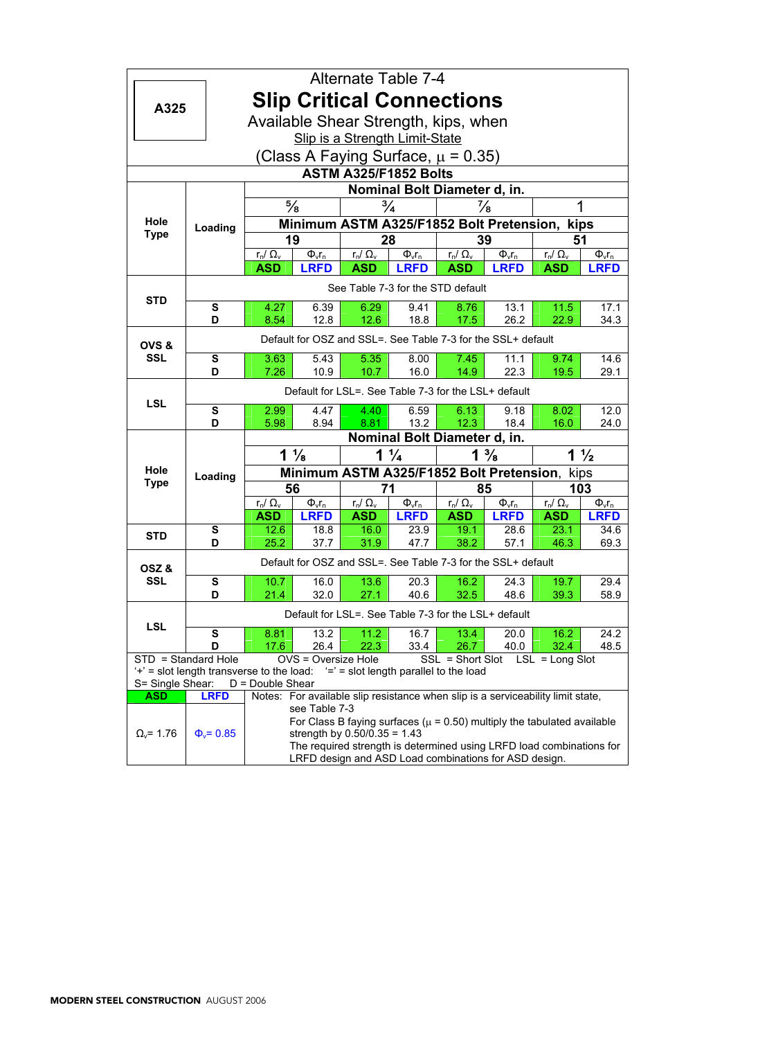|                    |                                                                                         |                              |                                                     | Alternate Table 7-4            |                      |                                                                                 |                                       |                       |                             |
|--------------------|-----------------------------------------------------------------------------------------|------------------------------|-----------------------------------------------------|--------------------------------|----------------------|---------------------------------------------------------------------------------|---------------------------------------|-----------------------|-----------------------------|
|                    |                                                                                         |                              |                                                     |                                |                      | <b>Slip Critical Connections</b>                                                |                                       |                       |                             |
| A325               |                                                                                         |                              |                                                     |                                |                      | Available Shear Strength, kips, when                                            |                                       |                       |                             |
|                    |                                                                                         |                              |                                                     | Slip is a Strength Limit-State |                      |                                                                                 |                                       |                       |                             |
|                    |                                                                                         |                              |                                                     |                                |                      | (Class A Faying Surface, $\mu$ = 0.35)                                          |                                       |                       |                             |
|                    |                                                                                         |                              |                                                     | ASTM A325/F1852 Bolts          |                      |                                                                                 |                                       |                       |                             |
|                    |                                                                                         |                              |                                                     |                                |                      | Nominal Bolt Diameter d, in.                                                    |                                       |                       |                             |
|                    |                                                                                         | $\frac{5}{8}$                |                                                     |                                | $\frac{3}{4}$        |                                                                                 | 1⁄8                                   | 1                     |                             |
| Hole               | Loading                                                                                 |                              |                                                     |                                |                      | Minimum ASTM A325/F1852 Bolt Pretension, kips                                   |                                       |                       |                             |
| <b>Type</b>        |                                                                                         | 19                           |                                                     |                                | 28                   | 39                                                                              |                                       | 51                    |                             |
|                    |                                                                                         | $r_n/\Omega_v$<br><b>ASD</b> | $\overline{\Phi}_{v}$ r <sub>n</sub><br><b>LRFD</b> | $r_n/\Omega_v$<br><b>ASD</b>   | $\Phi_v r_n$<br>LRFD | $r_n/\Omega_v$<br><b>ASD</b>                                                    | $\overline{\Phi_v}r_n$<br><b>LRFD</b> | $r_n/\Omega_v$<br>ASD | $\Phi_v r_n$<br><b>LRFD</b> |
|                    |                                                                                         |                              |                                                     |                                |                      |                                                                                 |                                       |                       |                             |
| STD                |                                                                                         |                              |                                                     |                                |                      | See Table 7-3 for the STD default                                               |                                       |                       |                             |
|                    | s<br>D                                                                                  | 4.27<br>8.54                 | 6.39<br>12.8                                        | 6.29<br>12.6                   | 9.41<br>18.8         | 8.76<br>17.5                                                                    | 13.1<br>26.2                          | 11.5<br>22.9          | 17.1<br>34.3                |
|                    |                                                                                         |                              |                                                     |                                |                      | Default for OSZ and SSL=. See Table 7-3 for the SSL+ default                    |                                       |                       |                             |
| OVS&<br><b>SSL</b> |                                                                                         |                              |                                                     |                                |                      |                                                                                 |                                       |                       |                             |
|                    | s<br>D                                                                                  | 3.63<br>7.26                 | 5.43<br>10.9                                        | 5.35<br>10.7                   | 8.00<br>16.0         | 7.45<br>14.9                                                                    | 11.1<br>22.3                          | 9.74<br>19.5          | 14.6<br>29.1                |
|                    |                                                                                         |                              |                                                     |                                |                      | Default for LSL=. See Table 7-3 for the LSL+ default                            |                                       |                       |                             |
| LSL                | s                                                                                       | 2.99                         | 4.47                                                | 4.40                           | 6.59                 | 6.13                                                                            | 9.18                                  | 8.02                  | 12.0                        |
|                    | D                                                                                       | 5.98                         | 8.94                                                | 8.81                           | 13.2                 | 12.3                                                                            | 18.4                                  | 16.0                  | 24.0                        |
|                    |                                                                                         |                              |                                                     |                                |                      |                                                                                 |                                       |                       |                             |
|                    |                                                                                         |                              |                                                     |                                |                      | Nominal Bolt Diameter d, in.                                                    |                                       |                       |                             |
|                    |                                                                                         |                              | $1\frac{1}{8}$                                      |                                | $1\frac{1}{4}$       |                                                                                 | $1\frac{3}{8}$                        |                       | $1\frac{1}{2}$              |
| Hole               | Loading                                                                                 |                              |                                                     |                                |                      | Minimum ASTM A325/F1852 Bolt Pretension, kips                                   |                                       |                       |                             |
| <b>Type</b>        |                                                                                         | 56                           |                                                     |                                | 71                   | 85                                                                              |                                       | 103                   |                             |
|                    |                                                                                         | $r_n/\Omega_v$               | $\Phi_v r_n$                                        | $r_n/\Omega_v$                 | $\Phi_v r_n$         | $r_n/\Omega_v$                                                                  | $\Phi_v r_n$                          | $r_n/\Omega_v$        | $\Phi_v r_n$                |
|                    | s                                                                                       | <b>ASD</b><br>12.6           | <b>LRFD</b><br>18.8                                 | <b>ASD</b><br>16.0             | <b>LRFD</b><br>23.9  | <b>ASD</b><br>19.1                                                              | <b>LRFD</b><br>28.6                   | <b>ASD</b><br>23.1    | <b>LRFD</b><br>34.6         |
| <b>STD</b>         | D                                                                                       | 25.2                         | 37.7                                                | 31.9                           | 47.7                 | 38.2                                                                            | 57.1                                  | 46.3                  | 69.3                        |
| OSZ &              |                                                                                         |                              |                                                     |                                |                      | Default for OSZ and SSL=. See Table 7-3 for the SSL+ default                    |                                       |                       |                             |
| SSL                | s                                                                                       | 10.7                         | 16.0                                                | 13.6                           | 20.3                 | 16.2                                                                            | 24.3                                  | 19.7                  | 29.4                        |
|                    | D                                                                                       | 21.4                         | 32.0                                                | 27.1                           | 40.6                 | 32.5                                                                            | 48.6                                  | 39.3                  | 58.9                        |
|                    |                                                                                         |                              |                                                     |                                |                      | Default for LSL=. See Table 7-3 for the LSL+ default                            |                                       |                       |                             |
| <b>LSL</b>         | s                                                                                       | 8.81                         | 13.2                                                | 11.2                           | 16.7                 | 13.4                                                                            | 20.0                                  | 16.2                  | 24.2                        |
|                    | D<br>STD = Standard Hole                                                                | 17.6                         | 26.4<br>OVS = Oversize Hole                         | 22.3                           | 33.4                 | 26.7<br>SSL = Short Slot                                                        | 40.0<br>LSL                           | 32.4                  | 48.5                        |
|                    | '+' = slot length transverse to the load: $\equiv$ ' = slot length parallel to the load |                              |                                                     |                                |                      |                                                                                 |                                       | = Long Slot           |                             |
| S= Single Shear:   |                                                                                         | $D = Double Shear$           |                                                     |                                |                      |                                                                                 |                                       |                       |                             |
| <b>ASD</b>         | <b>LRFD</b>                                                                             |                              | see Table 7-3                                       |                                |                      | Notes: For available slip resistance when slip is a serviceability limit state, |                                       |                       |                             |
|                    |                                                                                         |                              |                                                     |                                |                      | For Class B faying surfaces ( $\mu$ = 0.50) multiply the tabulated available    |                                       |                       |                             |
| $Q_v = 1.76$       | $\Phi_v = 0.85$                                                                         |                              | strength by $0.50/0.35 = 1.43$                      |                                |                      | The required strength is determined using LRFD load combinations for            |                                       |                       |                             |